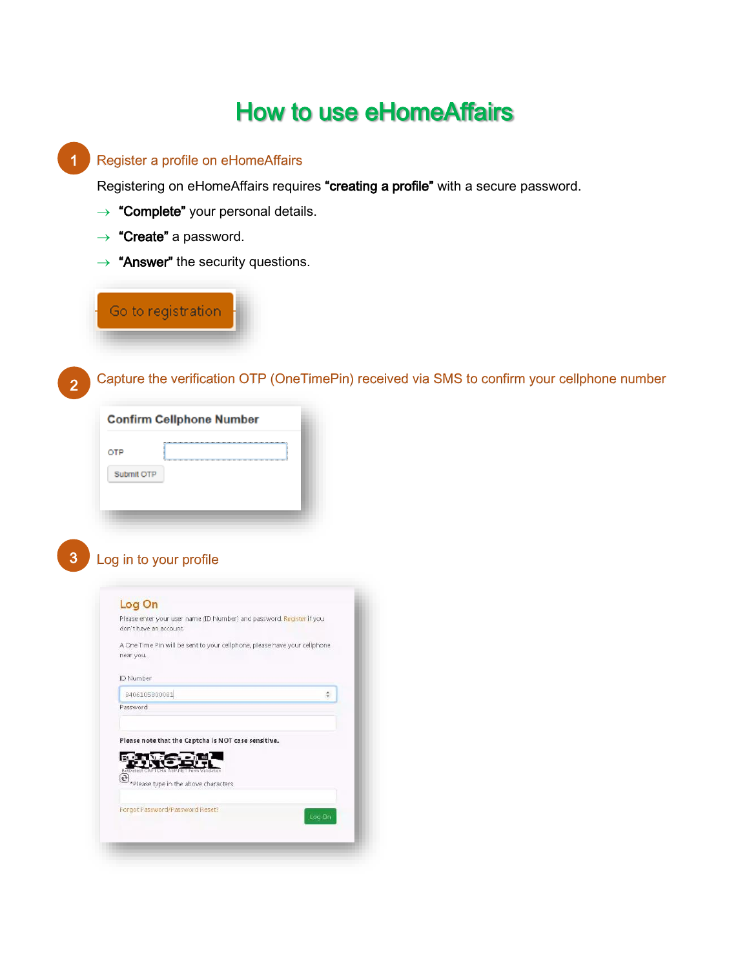# How to use eHomeAffairs



Register a profile on eHomeAffairs

Forgot Password/Password Reset?

2. Capture the verification OTP (OneTimePin) received via SMS to confirm your cellphone number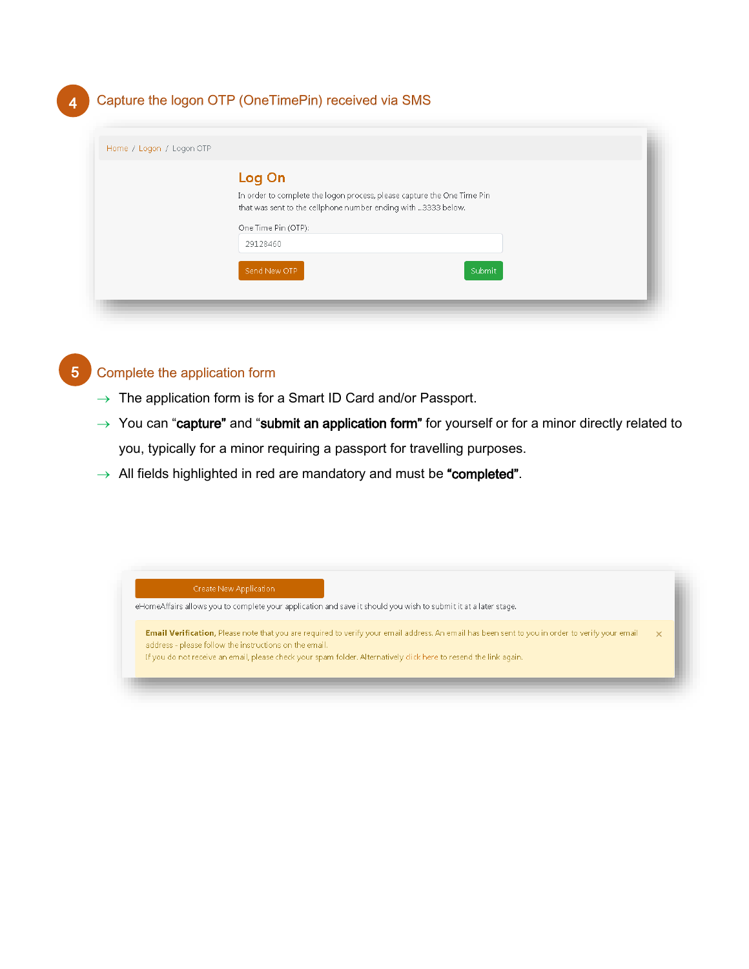## 4. Capture the logon OTP (OneTimePin) received via SMS

| Log On                                                                  |        |  |
|-------------------------------------------------------------------------|--------|--|
| In order to complete the logon process, please capture the One Time Pin |        |  |
| that was sent to the cellphone number ending with 3333 below.           |        |  |
| One Time Pin (OTP):                                                     |        |  |
| 29128460                                                                |        |  |
| Send New OTP                                                            | Submit |  |



4

- $\rightarrow$  The application form is for a Smart ID Card and/or Passport.
- $\rightarrow$  You can "capture" and "submit an application form" for yourself or for a minor directly related to you, typically for a minor requiring a passport for travelling purposes.
- $\rightarrow$  All fields highlighted in red are mandatory and must be "completed".

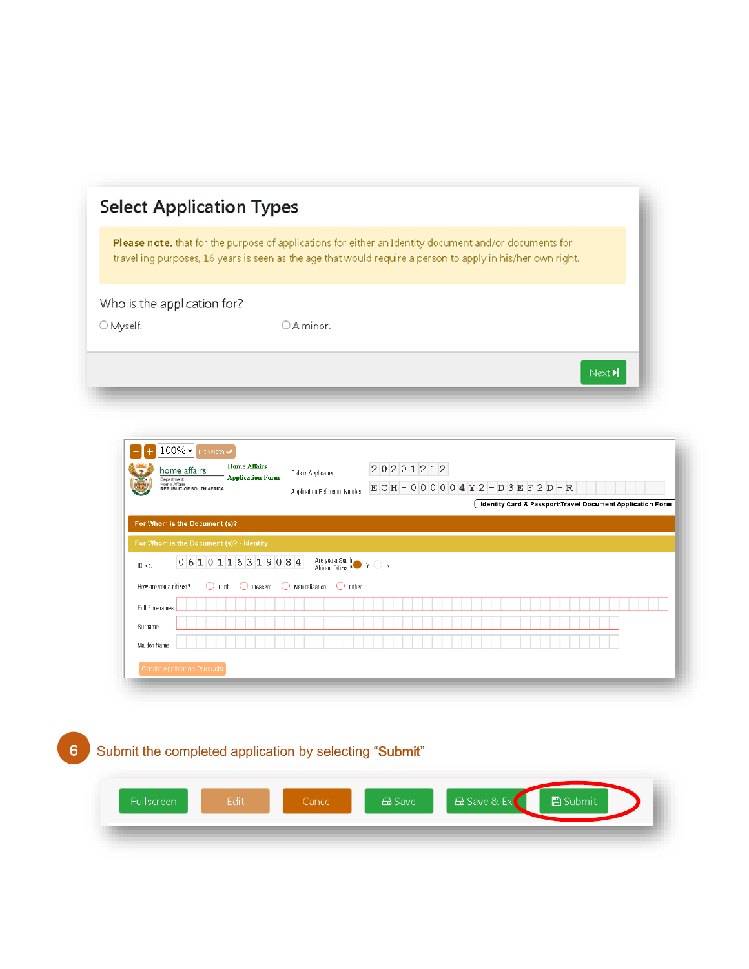|                             | <b>Please note,</b> that for the purpose of applications for either an Identity document and/or documents for |
|-----------------------------|---------------------------------------------------------------------------------------------------------------|
|                             | travelling purposes, 16 years is seen as the age that would require a person to apply in his/her own right.   |
| Who is the application for? |                                                                                                               |
| $\bigcirc$ Myself.          | $\bigcirc$ A minor.                                                                                           |

|                                          | home affairs<br>Department:<br>Home Affairs<br><b>REPUBLIC OF SOUTH AFRICA</b> | <b>Home Affairs</b><br><b>Application Form</b> | Date of Application<br>Application Reference Number                            | 20201212<br>$ECH - 000004Y2 - D3EF2D - R$ |                                                           |
|------------------------------------------|--------------------------------------------------------------------------------|------------------------------------------------|--------------------------------------------------------------------------------|-------------------------------------------|-----------------------------------------------------------|
|                                          | For Whom is the Document (s)?                                                  |                                                |                                                                                |                                           | Identity Card & Passport\Travel Document Application Form |
|                                          | For Whom is the Document (s)? - Identity                                       |                                                |                                                                                |                                           |                                                           |
| ID No.                                   |                                                                                | 0610116319084                                  | Are you a South<br>African Citizen? $Y \cap N$                                 |                                           |                                                           |
|                                          | How are you a citizen?                                                         |                                                | $\bigcirc$ Birth $\bigcirc$ Descent $\bigcirc$ Naturalisation $\bigcirc$ Other |                                           |                                                           |
|                                          |                                                                                |                                                |                                                                                |                                           |                                                           |
|                                          |                                                                                |                                                |                                                                                |                                           |                                                           |
|                                          |                                                                                |                                                |                                                                                |                                           |                                                           |
| Full Forenames<br>Surname<br>Maiden Name |                                                                                |                                                |                                                                                |                                           |                                                           |

6. Submit the completed application by selecting "Submit"

| <b>Fullscreen</b> | Edit | Cancell | <b>△Save</b> | L⊟ Save & Exi <sup>1</sup> | <b>A</b> Submit |  |
|-------------------|------|---------|--------------|----------------------------|-----------------|--|
|                   |      |         |              |                            |                 |  |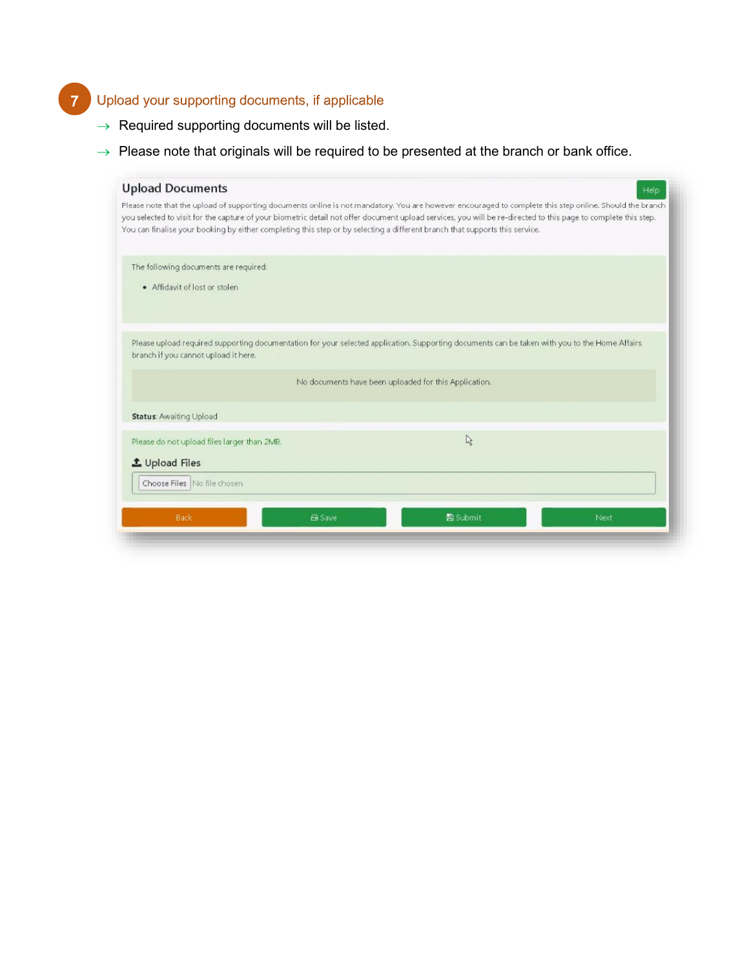#### 7. Upload your supporting documents, if applicable 7

- $\rightarrow$  Required supporting documents will be listed.
- $\rightarrow$  Please note that originals will be required to be presented at the branch or bank office.

|                                                                                                                                                                                                                                                                                                                                                                                                                                                          | Help                                                  |
|----------------------------------------------------------------------------------------------------------------------------------------------------------------------------------------------------------------------------------------------------------------------------------------------------------------------------------------------------------------------------------------------------------------------------------------------------------|-------------------------------------------------------|
| Please note that the upload of supporting documents online is not mandatory. You are however encouraged to complete this step online. Should the branch<br>you selected to visit for the capture of your biometric detail not offer document upload services, you will be re-directed to this page to complete this step.<br>You can finalise your booking by either completing this step or by selecting a different branch that supports this service. |                                                       |
|                                                                                                                                                                                                                                                                                                                                                                                                                                                          |                                                       |
|                                                                                                                                                                                                                                                                                                                                                                                                                                                          |                                                       |
| Please upload required supporting documentation for your selected application. Supporting documents can be taken with you to the Home Affairs                                                                                                                                                                                                                                                                                                            |                                                       |
|                                                                                                                                                                                                                                                                                                                                                                                                                                                          |                                                       |
|                                                                                                                                                                                                                                                                                                                                                                                                                                                          |                                                       |
| R.                                                                                                                                                                                                                                                                                                                                                                                                                                                       |                                                       |
|                                                                                                                                                                                                                                                                                                                                                                                                                                                          |                                                       |
|                                                                                                                                                                                                                                                                                                                                                                                                                                                          |                                                       |
| 高 Submit                                                                                                                                                                                                                                                                                                                                                                                                                                                 | Next                                                  |
|                                                                                                                                                                                                                                                                                                                                                                                                                                                          | No documents have been uploaded for this Application. |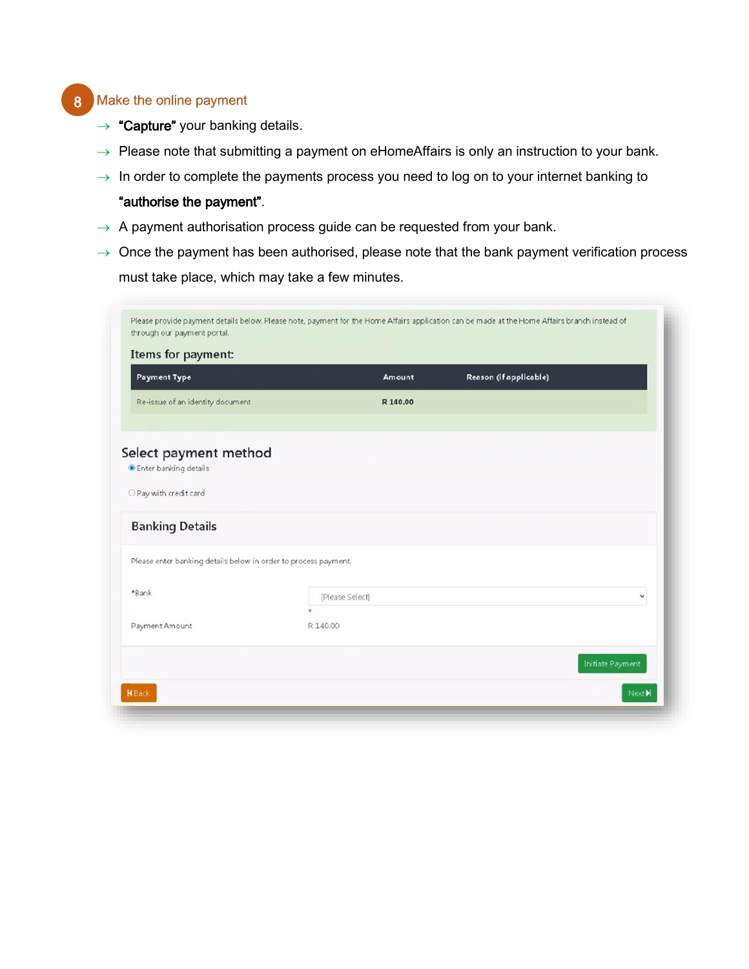# 8 Make the online payment

- $\rightarrow$  "Capture" your banking details.
- $\rightarrow$  Please note that submitting a payment on eHomeAffairs is only an instruction to your bank.
- $\rightarrow$  In order to complete the payments process you need to log on to your internet banking to

### "authorise the payment".

- $\rightarrow$  A payment authorisation process guide can be requested from your bank.
- $\rightarrow$  Once the payment has been authorised, please note that the bank payment verification process must take place, which may take a few minutes.

| Items for payment:                                              |                 |                        |
|-----------------------------------------------------------------|-----------------|------------------------|
| <b>Payment Type</b>                                             | Amount          | Reason (if applicable) |
| Re-issue of an identity document                                | R 140.00        |                        |
|                                                                 |                 |                        |
| Select payment method                                           |                 |                        |
| · Enter banking details                                         |                 |                        |
| O Pay with credit card                                          |                 |                        |
| <b>Banking Details</b>                                          |                 |                        |
| Please enter banking details below in order to process payment. |                 |                        |
| *Bank                                                           | [Please Select] | v                      |
| Payment Amount                                                  | R 140.00        |                        |
|                                                                 |                 | Initiate Payment       |
|                                                                 |                 |                        |